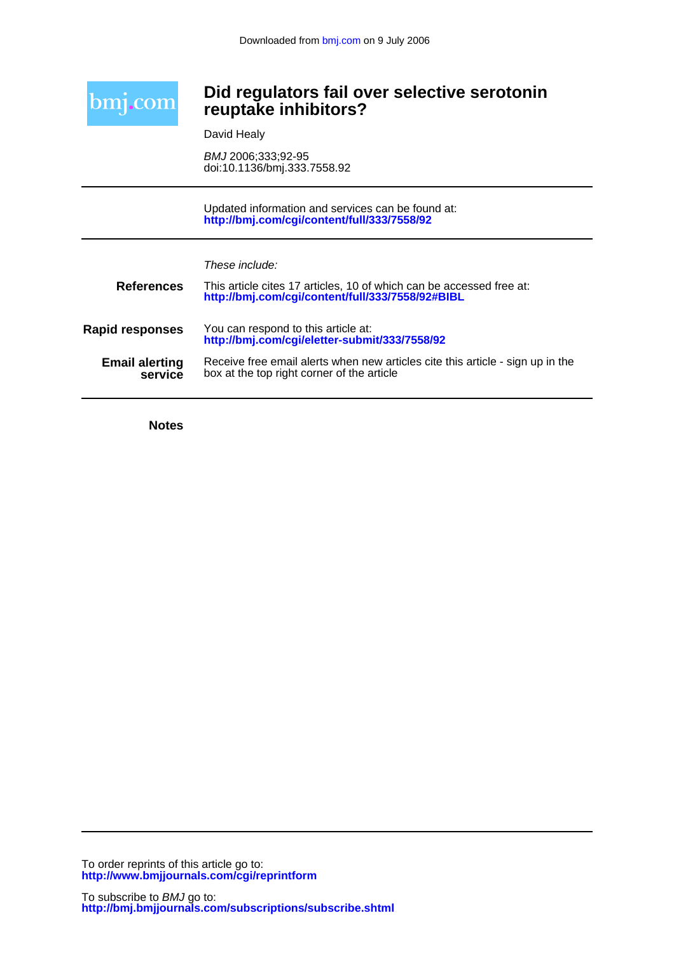

### **reuptake inhibitors? Did regulators fail over selective serotonin**

David Healy

doi:10.1136/bmj.333.7558.92 BMJ 2006;333;92-95

**<http://bmj.com/cgi/content/full/333/7558/92>** Updated information and services can be found at:

| These include: |  |  |
|----------------|--|--|
|                |  |  |

| <b>References</b>                | This article cites 17 articles, 10 of which can be accessed free at:<br>http://bmj.com/cgi/content/full/333/7558/92#BIBL     |
|----------------------------------|------------------------------------------------------------------------------------------------------------------------------|
| <b>Rapid responses</b>           | You can respond to this article at:<br>http://bmj.com/cgi/eletter-submit/333/7558/92                                         |
| <b>Email alerting</b><br>service | Receive free email alerts when new articles cite this article - sign up in the<br>box at the top right corner of the article |

**Notes**

**<http://www.bmjjournals.com/cgi/reprintform>** To order reprints of this article go to: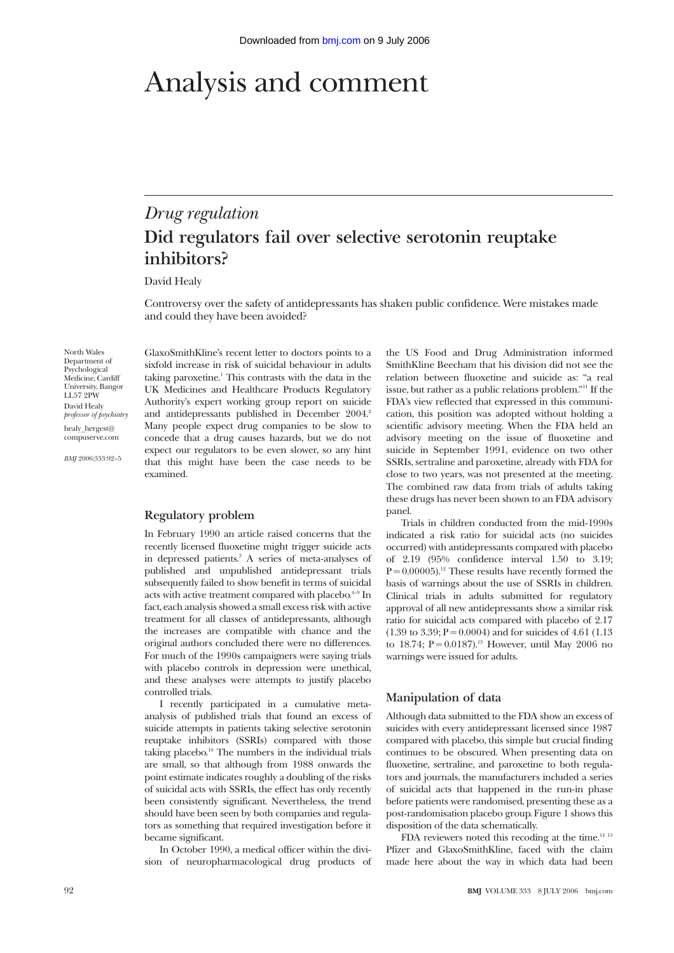# Analysis and comment

## *Drug regulation* **Did regulators fail over selective serotonin reuptake inhibitors?**

David Healy

Controversy over the safety of antidepressants has shaken public confidence. Were mistakes made and could they have been avoided?

North Wales Department of Psychological Medicine, Cardiff University, Bangor LL57 2PW David Healy *professor of psychiatry* healy\_hergest@

compuserve.com *BMJ* 2006;333:92–5 GlaxoSmithKline's recent letter to doctors points to a sixfold increase in risk of suicidal behaviour in adults taking paroxetine.1 This contrasts with the data in the UK Medicines and Healthcare Products Regulatory Authority's expert working group report on suicide and antidepressants published in December 2004.<sup>2</sup> Many people expect drug companies to be slow to concede that a drug causes hazards, but we do not expect our regulators to be even slower, so any hint that this might have been the case needs to be examined.

#### **Regulatory problem**

In February 1990 an article raised concerns that the recently licensed fluoxetine might trigger suicide acts in depressed patients.<sup>3</sup> A series of meta-analyses of published and unpublished antidepressant trials subsequently failed to show benefit in terms of suicidal acts with active treatment compared with placebo.<sup>4-9</sup> In fact, each analysis showed a small excess risk with active treatment for all classes of antidepressants, although the increases are compatible with chance and the original authors concluded there were no differences. For much of the 1990s campaigners were saying trials with placebo controls in depression were unethical, and these analyses were attempts to justify placebo controlled trials.

I recently participated in a cumulative metaanalysis of published trials that found an excess of suicide attempts in patients taking selective serotonin reuptake inhibitors (SSRIs) compared with those taking placebo.10 The numbers in the individual trials are small, so that although from 1988 onwards the point estimate indicates roughly a doubling of the risks of suicidal acts with SSRIs, the effect has only recently been consistently significant. Nevertheless, the trend should have been seen by both companies and regulators as something that required investigation before it became significant.

In October 1990, a medical officer within the division of neuropharmacological drug products of

the US Food and Drug Administration informed SmithKline Beecham that his division did not see the relation between fluoxetine and suicide as: "a real issue, but rather as a public relations problem."11 If the FDA's view reflected that expressed in this communication, this position was adopted without holding a scientific advisory meeting. When the FDA held an advisory meeting on the issue of fluoxetine and suicide in September 1991, evidence on two other SSRIs, sertraline and paroxetine, already with FDA for close to two years, was not presented at the meeting. The combined raw data from trials of adults taking these drugs has never been shown to an FDA advisory panel.

Trials in children conducted from the mid-1990s indicated a risk ratio for suicidal acts (no suicides occurred) with antidepressants compared with placebo of 2.19 (95% confidence interval 1.50 to 3.19;  $P = 0.00005$ .<sup>12</sup> These results have recently formed the basis of warnings about the use of SSRIs in children. Clinical trials in adults submitted for regulatory approval of all new antidepressants show a similar risk ratio for suicidal acts compared with placebo of 2.17  $(1.39 \text{ to } 3.39; P = 0.0004)$  and for suicides of 4.61 (1.13) to 18.74;  $P = 0.0187$ .<sup>13</sup> However, until May 2006 no warnings were issued for adults.

#### **Manipulation of data**

Although data submitted to the FDA show an excess of suicides with every antidepressant licensed since 1987 compared with placebo, this simple but crucial finding continues to be obscured. When presenting data on fluoxetine, sertraline, and paroxetine to both regulators and journals, the manufacturers included a series of suicidal acts that happened in the run-in phase before patients were randomised, presenting these as a post-randomisation placebo group. Figure 1 shows this disposition of the data schematically.

FDA reviewers noted this recoding at the time.<sup>14 15</sup> Pfizer and GlaxoSmithKline, faced with the claim made here about the way in which data had been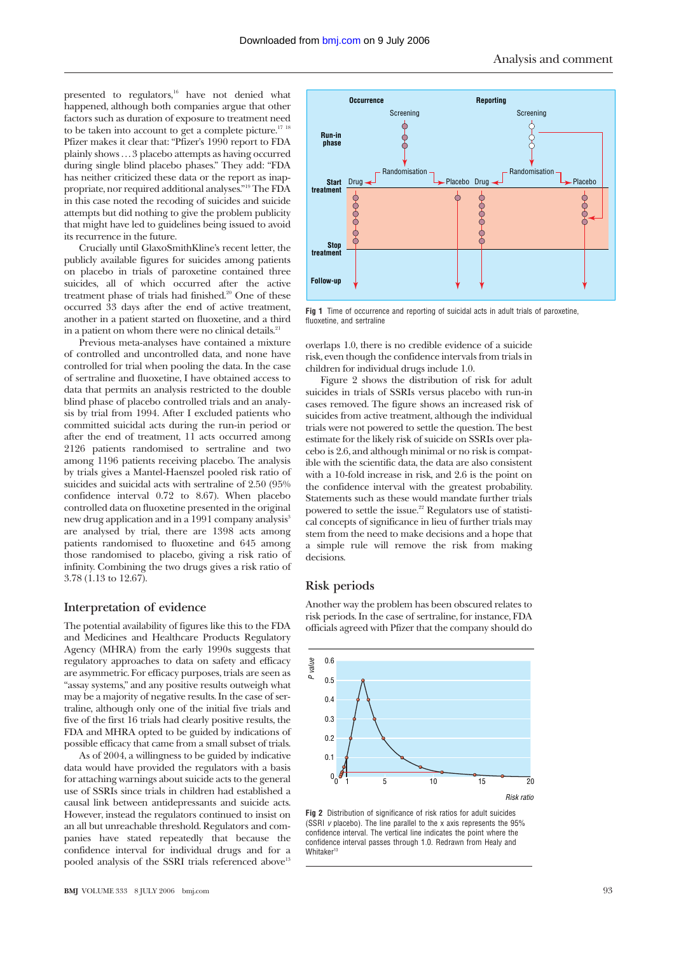presented to regulators,<sup>16</sup> have not denied what happened, although both companies argue that other factors such as duration of exposure to treatment need to be taken into account to get a complete picture.<sup>17 18</sup> Pfizer makes it clear that: "Pfizer's 1990 report to FDA plainly shows . . . 3 placebo attempts as having occurred during single blind placebo phases." They add: "FDA has neither criticized these data or the report as inappropriate, nor required additional analyses."19 The FDA in this case noted the recoding of suicides and suicide attempts but did nothing to give the problem publicity that might have led to guidelines being issued to avoid its recurrence in the future.

Crucially until GlaxoSmithKline's recent letter, the publicly available figures for suicides among patients on placebo in trials of paroxetine contained three suicides, all of which occurred after the active treatment phase of trials had finished.<sup>20</sup> One of these occurred 33 days after the end of active treatment, another in a patient started on fluoxetine, and a third in a patient on whom there were no clinical details.<sup>21</sup>

Previous meta-analyses have contained a mixture of controlled and uncontrolled data, and none have controlled for trial when pooling the data. In the case of sertraline and fluoxetine, I have obtained access to data that permits an analysis restricted to the double blind phase of placebo controlled trials and an analysis by trial from 1994. After I excluded patients who committed suicidal acts during the run-in period or after the end of treatment, 11 acts occurred among 2126 patients randomised to sertraline and two among 1196 patients receiving placebo. The analysis by trials gives a Mantel-Haenszel pooled risk ratio of suicides and suicidal acts with sertraline of 2.50 (95% confidence interval 0.72 to 8.67). When placebo controlled data on fluoxetine presented in the original new drug application and in a 1991 company analysis<sup>3</sup> are analysed by trial, there are 1398 acts among patients randomised to fluoxetine and 645 among those randomised to placebo, giving a risk ratio of infinity. Combining the two drugs gives a risk ratio of 3.78 (1.13 to 12.67).

#### **Interpretation of evidence**

The potential availability of figures like this to the FDA and Medicines and Healthcare Products Regulatory Agency (MHRA) from the early 1990s suggests that regulatory approaches to data on safety and efficacy are asymmetric. For efficacy purposes, trials are seen as "assay systems," and any positive results outweigh what may be a majority of negative results. In the case of sertraline, although only one of the initial five trials and five of the first 16 trials had clearly positive results, the FDA and MHRA opted to be guided by indications of possible efficacy that came from a small subset of trials.

As of 2004, a willingness to be guided by indicative data would have provided the regulators with a basis for attaching warnings about suicide acts to the general use of SSRIs since trials in children had established a causal link between antidepressants and suicide acts. However, instead the regulators continued to insist on an all but unreachable threshold. Regulators and companies have stated repeatedly that because the confidence interval for individual drugs and for a pooled analysis of the SSRI trials referenced above<sup>13</sup>



**Fig 1** Time of occurrence and reporting of suicidal acts in adult trials of paroxetine, fluoxetine, and sertraline

overlaps 1.0, there is no credible evidence of a suicide risk, even though the confidence intervals from trials in children for individual drugs include 1.0.

Figure 2 shows the distribution of risk for adult suicides in trials of SSRIs versus placebo with run-in cases removed. The figure shows an increased risk of suicides from active treatment, although the individual trials were not powered to settle the question. The best estimate for the likely risk of suicide on SSRIs over placebo is 2.6, and although minimal or no risk is compatible with the scientific data, the data are also consistent with a 10-fold increase in risk, and 2.6 is the point on the confidence interval with the greatest probability. Statements such as these would mandate further trials powered to settle the issue.<sup>22</sup> Regulators use of statistical concepts of significance in lieu of further trials may stem from the need to make decisions and a hope that a simple rule will remove the risk from making decisions.

#### **Risk periods**

Another way the problem has been obscured relates to risk periods. In the case of sertraline, for instance, FDA officials agreed with Pfizer that the company should do



**Fig 2** Distribution of significance of risk ratios for adult suicides (SSRI v placebo). The line parallel to the x axis represents the 95% confidence interval. The vertical line indicates the point where the confidence interval passes through 1.0. Redrawn from Healy and Whitaker13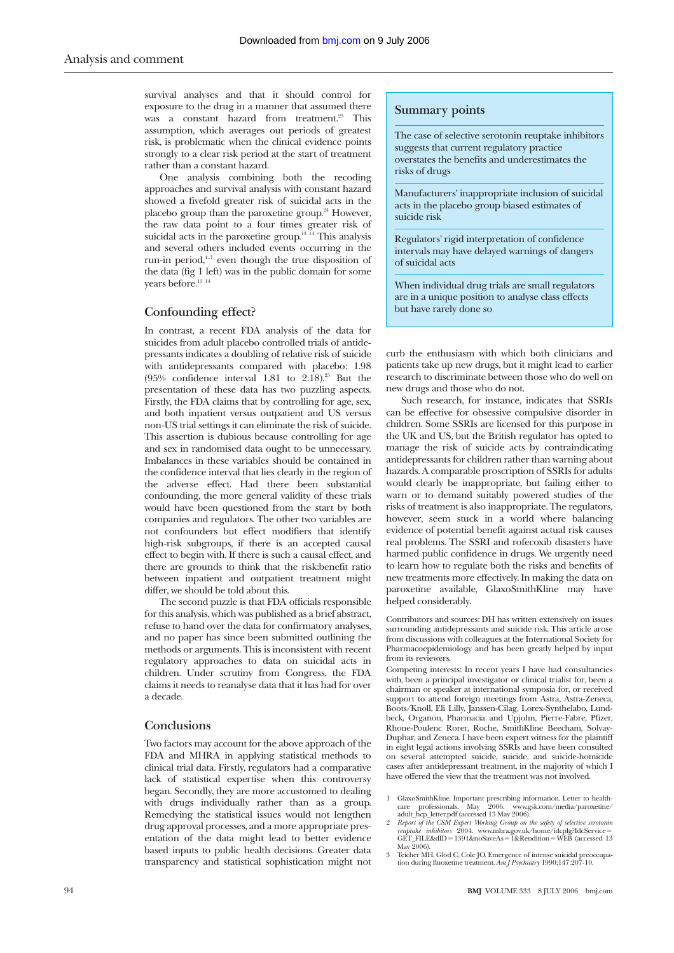survival analyses and that it should control for exposure to the drug in a manner that assumed there was a constant hazard from treatment.<sup>23</sup> This assumption, which averages out periods of greatest risk, is problematic when the clinical evidence points strongly to a clear risk period at the start of treatment rather than a constant hazard.

One analysis combining both the recoding approaches and survival analysis with constant hazard showed a fivefold greater risk of suicidal acts in the placebo group than the paroxetine group. $24$  However, the raw data point to a four times greater risk of suicidal acts in the paroxetine group.<sup>13 14</sup> This analysis and several others included events occurring in the run-in period,<sup>4-7</sup> even though the true disposition of the data (fig 1 left) was in the public domain for some years before.<sup>13 14</sup>

#### **Confounding effect?**

In contrast, a recent FDA analysis of the data for suicides from adult placebo controlled trials of antidepressants indicates a doubling of relative risk of suicide with antidepressants compared with placebo: 1.98 (95% confidence interval  $1.81$  to  $2.18$ ).<sup>25</sup> But the presentation of these data has two puzzling aspects. Firstly, the FDA claims that by controlling for age, sex, and both inpatient versus outpatient and US versus non-US trial settings it can eliminate the risk of suicide. This assertion is dubious because controlling for age and sex in randomised data ought to be unnecessary. Imbalances in these variables should be contained in the confidence interval that lies clearly in the region of the adverse effect. Had there been substantial confounding, the more general validity of these trials would have been questioned from the start by both companies and regulators. The other two variables are not confounders but effect modifiers that identify high-risk subgroups, if there is an accepted causal effect to begin with. If there is such a causal effect, and there are grounds to think that the risk:benefit ratio between inpatient and outpatient treatment might differ, we should be told about this.

The second puzzle is that FDA officials responsible for this analysis, which was published as a brief abstract, refuse to hand over the data for confirmatory analyses, and no paper has since been submitted outlining the methods or arguments. This is inconsistent with recent regulatory approaches to data on suicidal acts in children. Under scrutiny from Congress, the FDA claims it needs to reanalyse data that it has had for over a decade.

#### **Conclusions**

Two factors may account for the above approach of the FDA and MHRA in applying statistical methods to clinical trial data. Firstly, regulators had a comparative lack of statistical expertise when this controversy began. Secondly, they are more accustomed to dealing with drugs individually rather than as a group. Remedying the statistical issues would not lengthen drug approval processes, and a more appropriate presentation of the data might lead to better evidence based inputs to public health decisions. Greater data transparency and statistical sophistication might not

#### **Summary points**

The case of selective serotonin reuptake inhibitors suggests that current regulatory practice overstates the benefits and underestimates the risks of drugs

Manufacturers' inappropriate inclusion of suicidal acts in the placebo group biased estimates of suicide risk

Regulators' rigid interpretation of confidence intervals may have delayed warnings of dangers of suicidal acts

When individual drug trials are small regulators are in a unique position to analyse class effects but have rarely done so

curb the enthusiasm with which both clinicians and patients take up new drugs, but it might lead to earlier research to discriminate between those who do well on new drugs and those who do not.

Such research, for instance, indicates that SSRIs can be effective for obsessive compulsive disorder in children. Some SSRIs are licensed for this purpose in the UK and US, but the British regulator has opted to manage the risk of suicide acts by contraindicating antidepressants for children rather than warning about hazards. A comparable proscription of SSRIs for adults would clearly be inappropriate, but failing either to warn or to demand suitably powered studies of the risks of treatment is also inappropriate. The regulators, however, seem stuck in a world where balancing evidence of potential benefit against actual risk causes real problems. The SSRI and rofecoxib disasters have harmed public confidence in drugs. We urgently need to learn how to regulate both the risks and benefits of new treatments more effectively. In making the data on paroxetine available, GlaxoSmithKline may have helped considerably.

Contributors and sources: DH has written extensively on issues surrounding antidepressants and suicide risk. This article arose from discussions with colleagues at the International Society for Pharmacoepidemiology and has been greatly helped by input from its reviewers.

Competing interests: In recent years I have had consultancies with, been a principal investigator or clinical trialist for, been a chairman or speaker at international symposia for, or received support to attend foreign meetings from Astra, Astra-Zeneca, Boots/Knoll, Eli Lilly, Janssen-Cilag, Lorex-Synthelabo, Lundbeck, Organon, Pharmacia and Upjohn, Pierre-Fabre, Pfizer, Rhone-Poulenc Rorer, Roche, SmithKline Beecham, Solvay-Duphar, and Zeneca. I have been expert witness for the plaintiff in eight legal actions involving SSRIs and have been consulted on several attempted suicide, suicide, and suicide-homicide cases after antidepressant treatment, in the majority of which I have offered the view that the treatment was not involved.

- 1 GlaxoSmithKline. Important prescribing information. Letter to health-<br>care professionals, May 2006. www.gsk.com/media/paroxetine/<br>adult\_hcp\_letter.pdf (accessed 13 May 2006).<br>2 *Report of the CSM Expert Working Group on*
- *reuptake inhibitors* 2004. www.mhra.gov.uk/home/idcplg?IdcService = GET\_FILE&dID = 1391&noSaveAs = 1&Rendition = WEB (accessed 13  $\overline{Mav}$  2006).
- 3 Teicher MH, Glod C, Cole JO. Emergence of intense suicidal preoccupa-tion during fluoxetine treatment. *Am J Psychiatry* 1990;147:207-10.